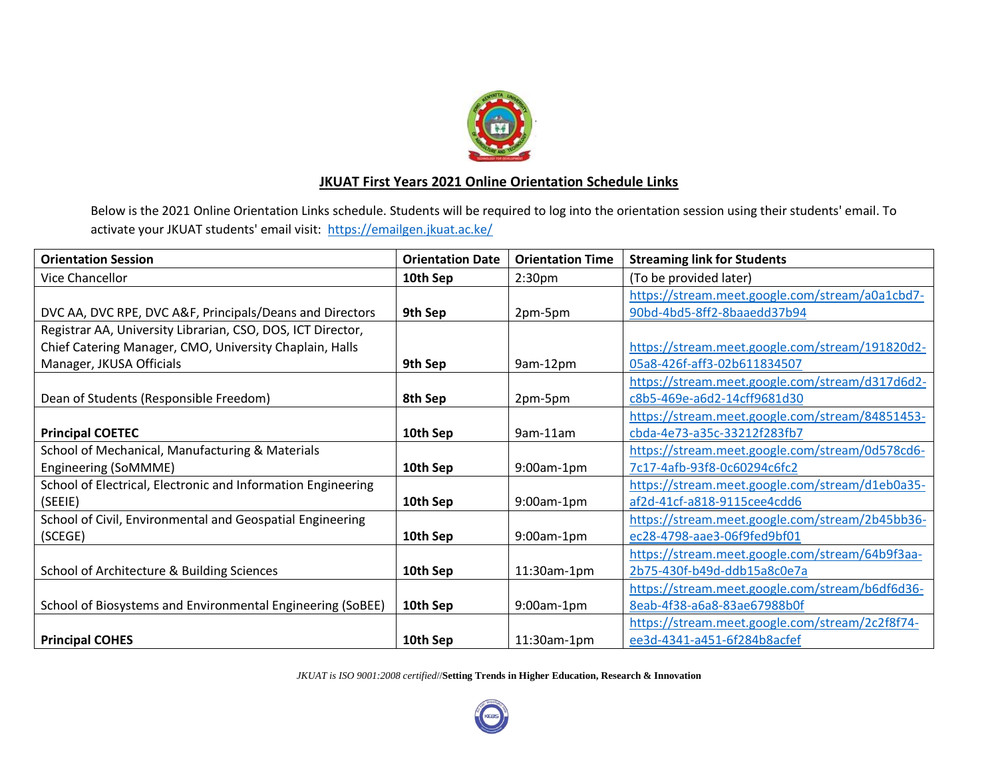

## **JKUAT First Years 2021 Online Orientation Schedule Links**

Below is the 2021 Online Orientation Links schedule. Students will be required to log into the orientation session using their students' email. To activate your JKUAT students' email visit: <https://emailgen.jkuat.ac.ke/>

| <b>Orientation Session</b>                                   | <b>Orientation Date</b> | <b>Orientation Time</b> | <b>Streaming link for Students</b>              |
|--------------------------------------------------------------|-------------------------|-------------------------|-------------------------------------------------|
| Vice Chancellor                                              | 10th Sep                | 2:30 <sub>pm</sub>      | (To be provided later)                          |
|                                                              |                         |                         | https://stream.meet.google.com/stream/a0a1cbd7- |
| DVC AA, DVC RPE, DVC A&F, Principals/Deans and Directors     | 9th Sep                 | 2pm-5pm                 | 90bd-4bd5-8ff2-8baaedd37b94                     |
| Registrar AA, University Librarian, CSO, DOS, ICT Director,  |                         |                         |                                                 |
| Chief Catering Manager, CMO, University Chaplain, Halls      |                         |                         | https://stream.meet.google.com/stream/191820d2- |
| Manager, JKUSA Officials                                     | 9th Sep                 | 9am-12pm                | 05a8-426f-aff3-02b611834507                     |
|                                                              |                         |                         | https://stream.meet.google.com/stream/d317d6d2- |
| Dean of Students (Responsible Freedom)                       | 8th Sep                 | 2pm-5pm                 | c8b5-469e-a6d2-14cff9681d30                     |
|                                                              |                         |                         | https://stream.meet.google.com/stream/84851453- |
| <b>Principal COETEC</b>                                      | 10th Sep                | 9am-11am                | cbda-4e73-a35c-33212f283fb7                     |
| School of Mechanical, Manufacturing & Materials              |                         |                         | https://stream.meet.google.com/stream/0d578cd6- |
| Engineering (SoMMME)                                         | 10th Sep                | $9:00$ am-1pm           | 7c17-4afb-93f8-0c60294c6fc2                     |
| School of Electrical, Electronic and Information Engineering |                         |                         | https://stream.meet.google.com/stream/d1eb0a35- |
| (SEEIE)                                                      | 10th Sep                | $9:00am-1pm$            | af2d-41cf-a818-9115cee4cdd6                     |
| School of Civil, Environmental and Geospatial Engineering    |                         |                         | https://stream.meet.google.com/stream/2b45bb36- |
| (SCEGE)                                                      | 10th Sep                | $9:00am-1pm$            | ec28-4798-aae3-06f9fed9bf01                     |
|                                                              |                         |                         | https://stream.meet.google.com/stream/64b9f3aa- |
| School of Architecture & Building Sciences                   | 10th Sep                | 11:30am-1pm             | 2b75-430f-b49d-ddb15a8c0e7a                     |
|                                                              |                         |                         | https://stream.meet.google.com/stream/b6df6d36- |
| School of Biosystems and Environmental Engineering (SoBEE)   | 10th Sep                | $9:00$ am-1pm           | 8eab-4f38-a6a8-83ae67988b0f                     |
|                                                              |                         |                         | https://stream.meet.google.com/stream/2c2f8f74- |
| <b>Principal COHES</b>                                       | 10th Sep                | $11:30$ am-1pm          | ee3d-4341-a451-6f284b8acfef                     |

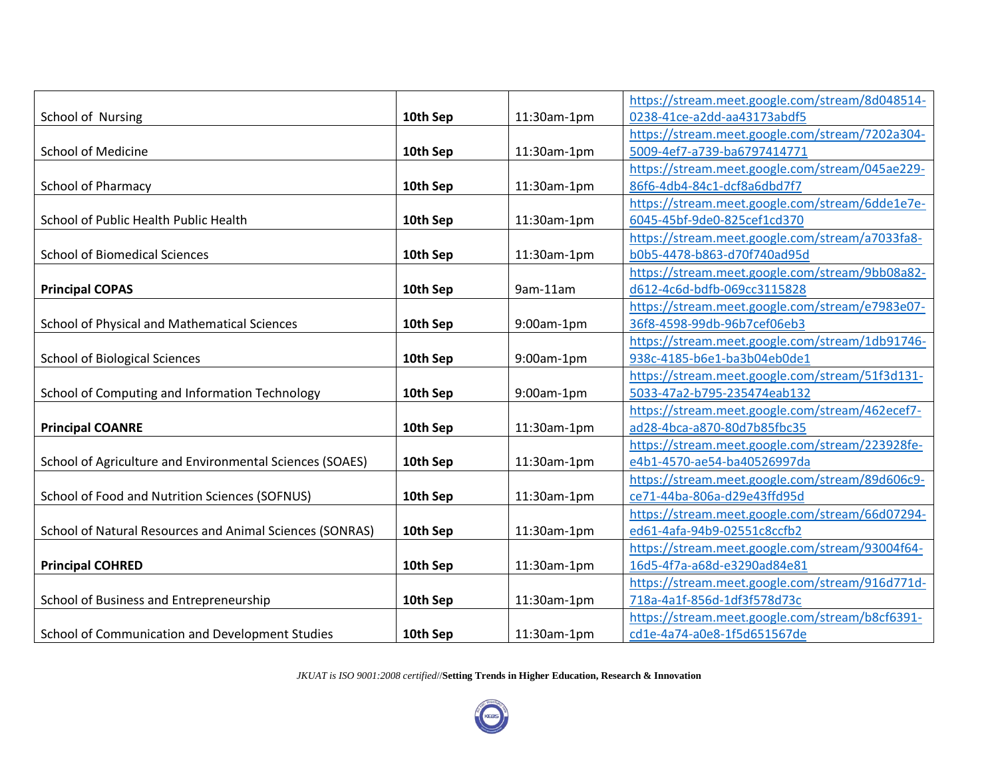|                                                          |          |             | https://stream.meet.google.com/stream/8d048514- |
|----------------------------------------------------------|----------|-------------|-------------------------------------------------|
| School of Nursing                                        | 10th Sep | 11:30am-1pm | 0238-41ce-a2dd-aa43173abdf5                     |
|                                                          |          |             | https://stream.meet.google.com/stream/7202a304- |
| School of Medicine                                       | 10th Sep | 11:30am-1pm | 5009-4ef7-a739-ba6797414771                     |
|                                                          |          |             | https://stream.meet.google.com/stream/045ae229- |
| School of Pharmacy                                       | 10th Sep | 11:30am-1pm | 86f6-4db4-84c1-dcf8a6dbd7f7                     |
|                                                          |          |             | https://stream.meet.google.com/stream/6dde1e7e- |
| School of Public Health Public Health                    | 10th Sep | 11:30am-1pm | 6045-45bf-9de0-825cef1cd370                     |
|                                                          |          |             | https://stream.meet.google.com/stream/a7033fa8- |
| <b>School of Biomedical Sciences</b>                     | 10th Sep | 11:30am-1pm | b0b5-4478-b863-d70f740ad95d                     |
|                                                          |          |             | https://stream.meet.google.com/stream/9bb08a82- |
| <b>Principal COPAS</b>                                   | 10th Sep | 9am-11am    | d612-4c6d-bdfb-069cc3115828                     |
|                                                          |          |             | https://stream.meet.google.com/stream/e7983e07- |
| School of Physical and Mathematical Sciences             | 10th Sep | 9:00am-1pm  | 36f8-4598-99db-96b7cef06eb3                     |
|                                                          |          |             | https://stream.meet.google.com/stream/1db91746- |
| <b>School of Biological Sciences</b>                     | 10th Sep | 9:00am-1pm  | 938c-4185-b6e1-ba3b04eb0de1                     |
|                                                          |          |             | https://stream.meet.google.com/stream/51f3d131- |
| School of Computing and Information Technology           | 10th Sep | 9:00am-1pm  | 5033-47a2-b795-235474eab132                     |
|                                                          |          |             | https://stream.meet.google.com/stream/462ecef7- |
| <b>Principal COANRE</b>                                  | 10th Sep | 11:30am-1pm | ad28-4bca-a870-80d7b85fbc35                     |
|                                                          |          |             | https://stream.meet.google.com/stream/223928fe- |
| School of Agriculture and Environmental Sciences (SOAES) | 10th Sep | 11:30am-1pm | e4b1-4570-ae54-ba40526997da                     |
|                                                          |          |             | https://stream.meet.google.com/stream/89d606c9- |
| School of Food and Nutrition Sciences (SOFNUS)           | 10th Sep | 11:30am-1pm | ce71-44ba-806a-d29e43ffd95d                     |
|                                                          |          |             | https://stream.meet.google.com/stream/66d07294- |
| School of Natural Resources and Animal Sciences (SONRAS) | 10th Sep | 11:30am-1pm | ed61-4afa-94b9-02551c8ccfb2                     |
|                                                          |          |             | https://stream.meet.google.com/stream/93004f64- |
| <b>Principal COHRED</b>                                  | 10th Sep | 11:30am-1pm | 16d5-4f7a-a68d-e3290ad84e81                     |
|                                                          |          |             | https://stream.meet.google.com/stream/916d771d- |
| School of Business and Entrepreneurship                  | 10th Sep | 11:30am-1pm | 718a-4a1f-856d-1df3f578d73c                     |
|                                                          |          |             | https://stream.meet.google.com/stream/b8cf6391- |
| School of Communication and Development Studies          | 10th Sep | 11:30am-1pm | cd1e-4a74-a0e8-1f5d651567de                     |

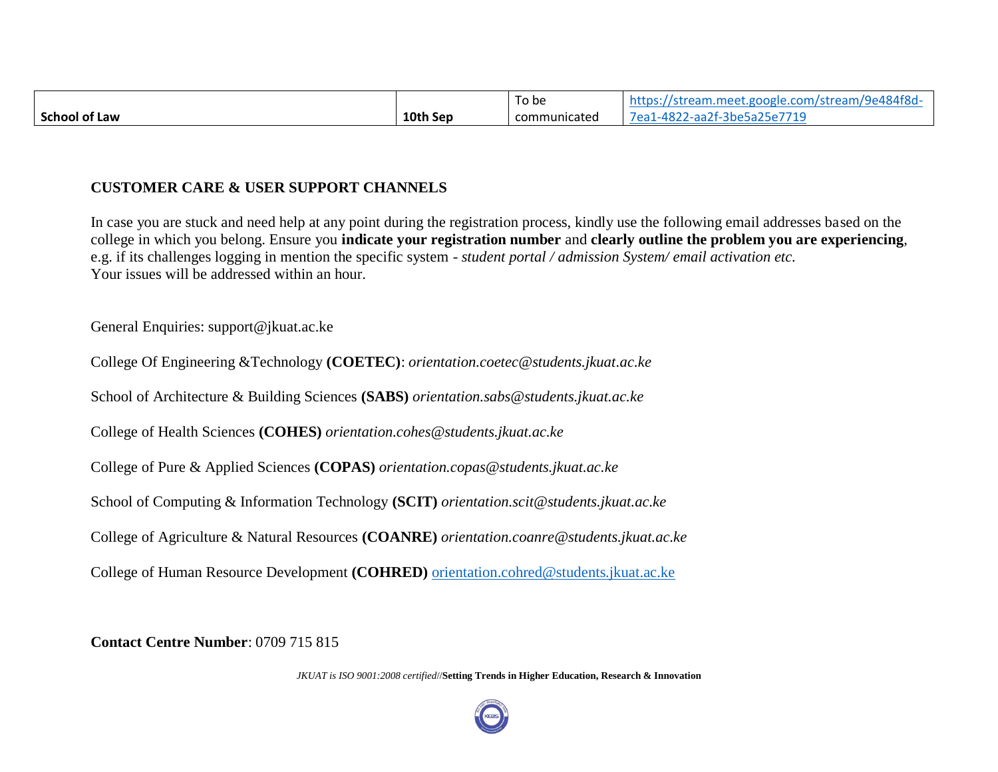|                      |          | To be        | :://stream.meet.google.com/stream/9e484f8d-<br>https:/ |
|----------------------|----------|--------------|--------------------------------------------------------|
| <b>School of Law</b> | 10th Sep | communicated | 7ea1-4822-aa2f-3be5a25e7719                            |

## **CUSTOMER CARE & USER SUPPORT CHANNELS**

In case you are stuck and need help at any point during the registration process, kindly use the following email addresses based on the college in which you belong. Ensure you **indicate your registration number** and **clearly outline the problem you are experiencing**, e.g. if its challenges logging in mention the specific system - *student portal / admission System/ email activation etc.*  Your issues will be addressed within an hour.

General Enquiries: support@jkuat.ac.ke

College Of Engineering &Technology **(COETEC)**: *orientation.coetec@students.jkuat.ac.ke*

School of Architecture & Building Sciences **(SABS)** *orientation.sabs@students.jkuat.ac.ke*

College of Health Sciences **(COHES)** *orientation.cohes@students.jkuat.ac.ke*

College of Pure & Applied Sciences **(COPAS)** *orientation.copas@students.jkuat.ac.ke*

School of Computing & Information Technology **(SCIT)** *orientation.scit@students.jkuat.ac.ke*

College of Agriculture & Natural Resources **(COANRE)** *orientation.coanre@students.jkuat.ac.ke*

College of Human Resource Development **(COHRED)** [orientation.cohred@students.jkuat.ac.ke](mailto:orientation.cohred@students.jkuat.ac.ke)

**Contact Centre Number**: 0709 715 815